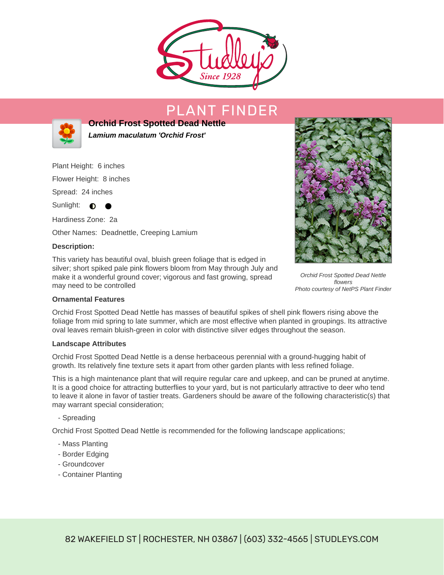

# PLANT FINDER



**Orchid Frost Spotted Dead Nettle Lamium maculatum 'Orchid Frost'**

Plant Height: 6 inches

Flower Height: 8 inches

Spread: 24 inches

Sunlight:  $\bullet$ 

Hardiness Zone: 2a Other Names: Deadnettle, Creeping Lamium

### **Description:**

This variety has beautiful oval, bluish green foliage that is edged in silver; short spiked pale pink flowers bloom from May through July and make it a wonderful ground cover; vigorous and fast growing, spread may need to be controlled



Orchid Frost Spotted Dead Nettle flowers Photo courtesy of NetPS Plant Finder

### **Ornamental Features**

Orchid Frost Spotted Dead Nettle has masses of beautiful spikes of shell pink flowers rising above the foliage from mid spring to late summer, which are most effective when planted in groupings. Its attractive oval leaves remain bluish-green in color with distinctive silver edges throughout the season.

### **Landscape Attributes**

Orchid Frost Spotted Dead Nettle is a dense herbaceous perennial with a ground-hugging habit of growth. Its relatively fine texture sets it apart from other garden plants with less refined foliage.

This is a high maintenance plant that will require regular care and upkeep, and can be pruned at anytime. It is a good choice for attracting butterflies to your yard, but is not particularly attractive to deer who tend to leave it alone in favor of tastier treats. Gardeners should be aware of the following characteristic(s) that may warrant special consideration;

- Spreading

Orchid Frost Spotted Dead Nettle is recommended for the following landscape applications;

- Mass Planting
- Border Edging
- Groundcover
- Container Planting